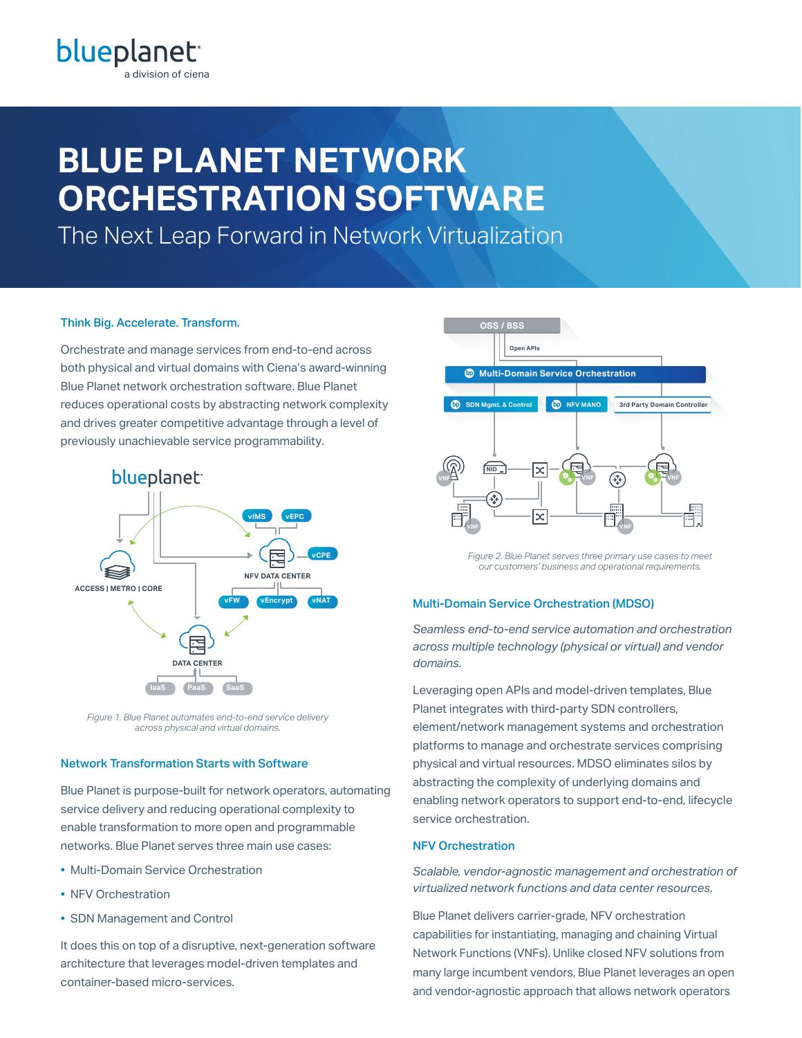# **BLUE PLANET NETWORK ORCHESTRATION SOFTWARE**

The Next Leap Forward in Network Virtualization

## Think Big. Accelerate. Transform.

Orchestrate and manage services from end-to-end across both physical and virtual domains with Ciena's award-winning Blue Planet network orchestration software. Blue Planet reduces operational costs by abstracting network complexity and drives greater competitive advantage through a level of previously unachievable service programmability.



*Figure 1. Blue Planet automates end-to-end service delivery across physical and virtual domains.*

### Network Transformation Starts with Software

Blue Planet is purpose-built for network operators, automating service delivery and reducing operational complexity to enable transformation to more open and programmable networks. Blue Planet serves three main use cases:

- Multi-Domain Service Orchestration
- NFV Orchestration
- SDN Management and Control

It does this on top of a disruptive, next-generation software architecture that leverages model-driven templates and container-based micro-services.



*Figure 2. Blue Planet serves three primary use cases to meet our customers' business and operational requirements.*

## Multi-Domain Service Orchestration (MDSO)

*Seamless end-to-end service automation and orchestration across multiple technology (physical or virtual) and vendor domains.*

Leveraging open APIs and model-driven templates, Blue Planet integrates with third-party SDN controllers, element/network management systems and orchestration platforms to manage and orchestrate services comprising physical and virtual resources. MDSO eliminates silos by abstracting the complexity of underlying domains and enabling network operators to support end-to-end, lifecycle service orchestration.

## NFV Orchestration

*Scalable, vendor-agnostic management and orchestration of virtualized network functions and data center resources.*

Blue Planet delivers carrier-grade, NFV orchestration capabilities for instantiating, managing and chaining Virtual Network Functions (VNFs). Unlike closed NFV solutions from many large incumbent vendors, Blue Planet leverages an open and vendor-agnostic approach that allows network operators